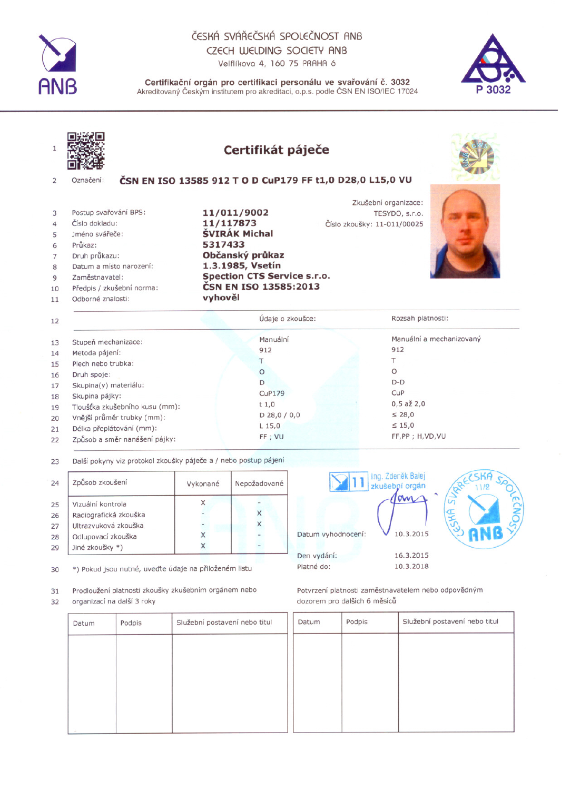

## ČESKÁ SVÁŘEČSKÁ SPOLEČNOST ANB CZECH WELDING SOCIETY ANB

Velflíkova 4, 160 75 PRAHA 6



| $\mathbf{1}$                                                         |                                      | Certifikát páječe                                        |                             |                               |                          |
|----------------------------------------------------------------------|--------------------------------------|----------------------------------------------------------|-----------------------------|-------------------------------|--------------------------|
| 2                                                                    | Označení:                            | ČSN EN ISO 13585 912 T O D CuP179 FF t1,0 D28,0 L15,0 VU |                             |                               |                          |
|                                                                      | Postup svařování BPS:                | 11/011/9002                                              |                             | Zkušební organizace:          |                          |
| 3<br>$\overline{4}$                                                  | Číslo dokladu:                       | 11/117873                                                | Číslo zkoušky: 11-011/00025 | TESYDO, s.r.o.                |                          |
| 5                                                                    | Jméno svářeče:                       | <b>ŠVIRÁK Michal</b>                                     |                             |                               |                          |
| 6                                                                    | Průkaz:                              | 5317433                                                  |                             |                               |                          |
| 7                                                                    | Druh průkazu:                        | Občanský průkaz                                          |                             |                               |                          |
| 8                                                                    | Datum a místo narození:              | 1.3.1985, Vsetín                                         |                             |                               |                          |
|                                                                      |                                      |                                                          |                             |                               |                          |
| 9                                                                    | Zaměstnavatel:                       | <b>Spection CTS Service s.r.o.</b>                       |                             |                               |                          |
|                                                                      | Předpis / zkušební norma:            | ČSN EN ISO 13585:2013                                    |                             |                               |                          |
|                                                                      | Odborné znalosti:                    | vyhověl                                                  |                             |                               |                          |
|                                                                      |                                      | Údaje o zkoušce:                                         |                             | Rozsah platnosti:             |                          |
|                                                                      |                                      | Manuální                                                 |                             |                               | Manuální a mechanizovaný |
|                                                                      | Stupeň mechanizace:                  | 912                                                      |                             | 912                           |                          |
|                                                                      | Metoda pájení:                       | T                                                        |                             | T                             |                          |
|                                                                      | Plech nebo trubka:                   | $\circ$                                                  |                             | $\Omega$                      |                          |
|                                                                      | Druh spoje:<br>Skupina(y) materiálu: | D                                                        |                             | $D-D$                         |                          |
|                                                                      | Skupina pájky:                       | CuP179                                                   |                             | CuP                           |                          |
|                                                                      | Tloušťka zkušebního kusu (mm):       | $t$ 1,0                                                  |                             | $0,5$ až $2,0$                |                          |
|                                                                      | Vnější průměr trubky (mm):           | $D$ 28,0 / 0,0                                           |                             | $\leq 28,0$                   |                          |
| 10<br>11<br>12<br>13<br>14<br>15<br>16<br>17<br>18<br>19<br>20<br>21 | Délka přeplátování (mm):             | $L$ 15,0<br>FF; VU                                       |                             | $\leq 15,0$<br>FF,PP; H,VD,VU |                          |

| 24 | Způsob zkoušení       | Vykonané                 | Nepožadované |
|----|-----------------------|--------------------------|--------------|
| 25 | Vizuální kontrola     | X                        |              |
| 26 | Radiografická zkouška | $\sim$                   |              |
| 27 | Ultrazvuková zkouška  | $\overline{\phantom{0}}$ | X            |
| 28 | Odlupovací zkouška    |                          |              |
| 29 | Jiné zkoušky *)       |                          | L.           |

30 \*) Pokud jsou nutné, uvedte údaje na přiloženém listu

31 Prodloužení platnosti zkoušky zkušebním orgánem nebo

32 organizací na další 3 roky



Potvrzení platnosti zaměstnavatelem nebo odpovědným dozorem pro dalších 6 měsíců

| Datum | Podpis | Služební postavení nebo titul | Datum | Podpis | Služební postavení nebo titul |
|-------|--------|-------------------------------|-------|--------|-------------------------------|
|       |        |                               |       |        |                               |
|       |        |                               |       |        |                               |
|       |        |                               |       |        |                               |
|       |        |                               |       |        |                               |
|       |        |                               |       |        |                               |